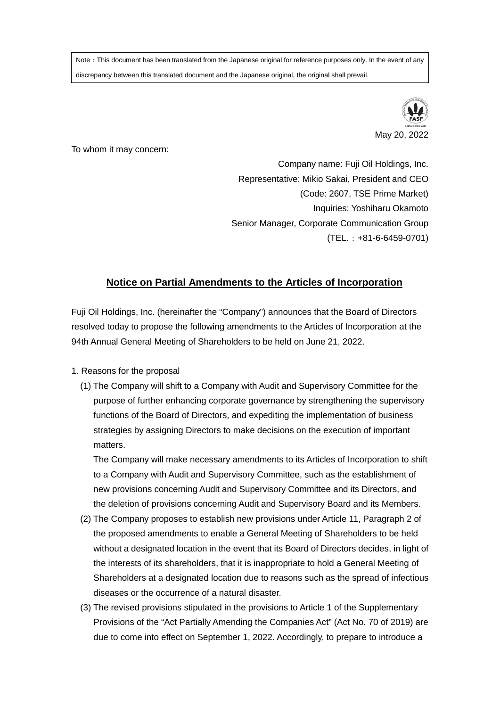Note: This document has been translated from the Japanese original for reference purposes only. In the event of any discrepancy between this translated document and the Japanese original, the original shall prevail.



To whom it may concern:

Company name: Fuji Oil Holdings, Inc. Representative: Mikio Sakai, President and CEO (Code: 2607, TSE Prime Market) Inquiries: Yoshiharu Okamoto Senior Manager, Corporate Communication Group (TEL.:+81-6-6459-0701)

## **Notice on Partial Amendments to the Articles of Incorporation**

Fuji Oil Holdings, Inc. (hereinafter the "Company") announces that the Board of Directors resolved today to propose the following amendments to the Articles of Incorporation at the 94th Annual General Meeting of Shareholders to be held on June 21, 2022.

- 1. Reasons for the proposal
	- (1) The Company will shift to a Company with Audit and Supervisory Committee for the purpose of further enhancing corporate governance by strengthening the supervisory functions of the Board of Directors, and expediting the implementation of business strategies by assigning Directors to make decisions on the execution of important matters.

 The Company will make necessary amendments to its Articles of Incorporation to shift to a Company with Audit and Supervisory Committee, such as the establishment of new provisions concerning Audit and Supervisory Committee and its Directors, and the deletion of provisions concerning Audit and Supervisory Board and its Members.

- (2) The Company proposes to establish new provisions under Article 11, Paragraph 2 of the proposed amendments to enable a General Meeting of Shareholders to be held without a designated location in the event that its Board of Directors decides, in light of the interests of its shareholders, that it is inappropriate to hold a General Meeting of Shareholders at a designated location due to reasons such as the spread of infectious diseases or the occurrence of a natural disaster.
- (3) The revised provisions stipulated in the provisions to Article 1 of the Supplementary Provisions of the "Act Partially Amending the Companies Act" (Act No. 70 of 2019) are due to come into effect on September 1, 2022. Accordingly, to prepare to introduce a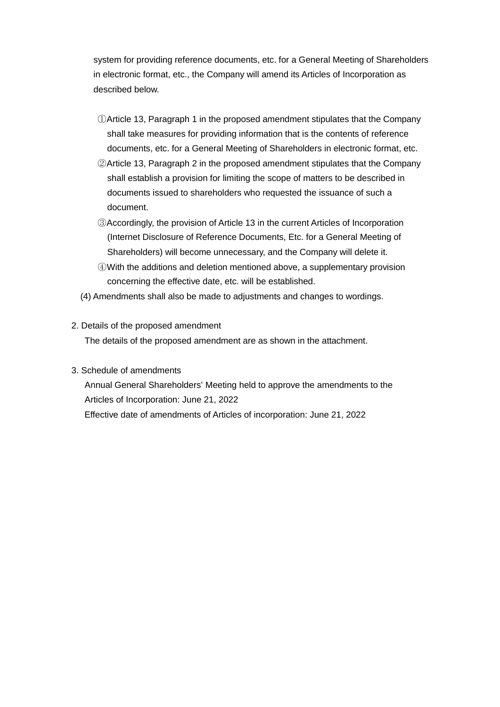system for providing reference documents, etc. for a General Meeting of Shareholders in electronic format, etc., the Company will amend its Articles of Incorporation as described below.

- ①Article 13, Paragraph 1 in the proposed amendment stipulates that the Company shall take measures for providing information that is the contents of reference documents, etc. for a General Meeting of Shareholders in electronic format, etc.
- ②Article 13, Paragraph 2 in the proposed amendment stipulates that the Company shall establish a provision for limiting the scope of matters to be described in documents issued to shareholders who requested the issuance of such a document.
- ③Accordingly, the provision of Article 13 in the current Articles of Incorporation (Internet Disclosure of Reference Documents, Etc. for a General Meeting of Shareholders) will become unnecessary, and the Company will delete it.
- ④With the additions and deletion mentioned above, a supplementary provision concerning the effective date, etc. will be established.
- (4) Amendments shall also be made to adjustments and changes to wordings.

## 2. Details of the proposed amendment

The details of the proposed amendment are as shown in the attachment.

## 3. Schedule of amendments

Annual General Shareholders' Meeting held to approve the amendments to the Articles of Incorporation: June 21, 2022 Effective date of amendments of Articles of incorporation: June 21, 2022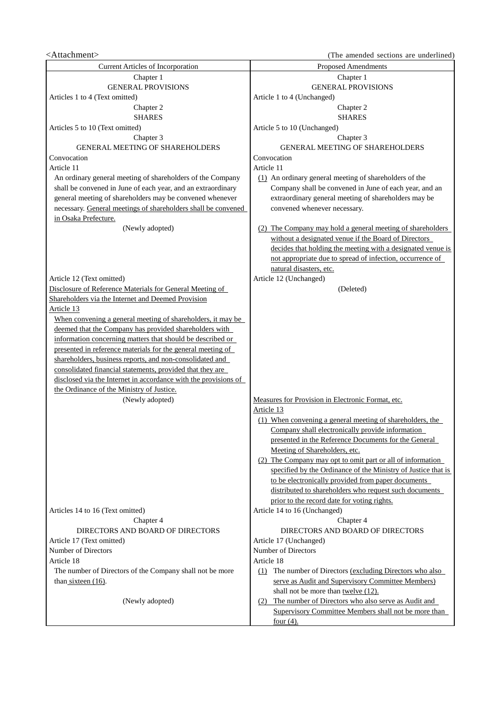## <Attachment> (The amended sections are underlined)

Current Articles of Incorporation Proposed Amendments Chapter 1 GENERAL PROVISIONS Chapter 1 GENERAL PROVISIONS Articles 1 to 4 (Text omitted) Article 1 to 4 (Unchanged) Chapter 2 SHARES Chapter 2 SHARES Articles 5 to 10 (Text omitted) Article 5 to 10 (Unchanged) Chapter 3 GENERAL MEETING OF SHAREHOLDERS Chapter 3 GENERAL MEETING OF SHAREHOLDERS Convocation Convocation Article 11 An ordinary general meeting of shareholders of the Company shall be convened in June of each year, and an extraordinary general meeting of shareholders may be convened whenever necessary. General meetings of shareholders shall be convened in Osaka Prefecture. Article 11 (1) An ordinary general meeting of shareholders of the Company shall be convened in June of each year, and an extraordinary general meeting of shareholders may be convened whenever necessary. (Newly adopted) (2) The Company may hold a general meeting of shareholders without a designated venue if the Board of Directors decides that holding the meeting with a designated venue is not appropriate due to spread of infection, occurrence of natural disasters, etc. Article 12 (Text omitted) and a set of the Article 12 (Unchanged) and Article 12 (Unchanged) Disclosure of Reference Materials for General Meeting of Shareholders via the Internet and Deemed Provision (Deleted) Article 13 When convening a general meeting of shareholders, it may be deemed that the Company has provided shareholders with information concerning matters that should be described or presented in reference materials for the general meeting of shareholders, business reports, and non-consolidated and consolidated financial statements, provided that they are disclosed via the Internet in accordance with the provisions of the Ordinance of the Ministry of Justice. (Newly adopted) Measures for Provision in Electronic Format, etc. Article 13 (1) When convening a general meeting of shareholders, the Company shall electronically provide information presented in the Reference Documents for the General Meeting of Shareholders, etc. (2) The Company may opt to omit part or all of information specified by the Ordinance of the Ministry of Justice that is to be electronically provided from paper documents distributed to shareholders who request such documents prior to the record date for voting rights. Articles 14 to 16 (Text omitted) Article 14 to 16 (Unchanged) Chapter 4 DIRECTORS AND BOARD OF DIRECTORS Chapter 4 DIRECTORS AND BOARD OF DIRECTORS Article 17 (Text omitted) and the same state of the Article 17 (Unchanged) Number of Directors Number of Directors Article 18 The number of Directors of the Company shall not be more than sixteen (16). Article 18 (1) The number of Directors (excluding Directors who also serve as Audit and Supervisory Committee Members) shall not be more than twelve (12). (Newly adopted) (2) The number of Directors who also serve as Audit and Supervisory Committee Members shall not be more than four  $(4)$ .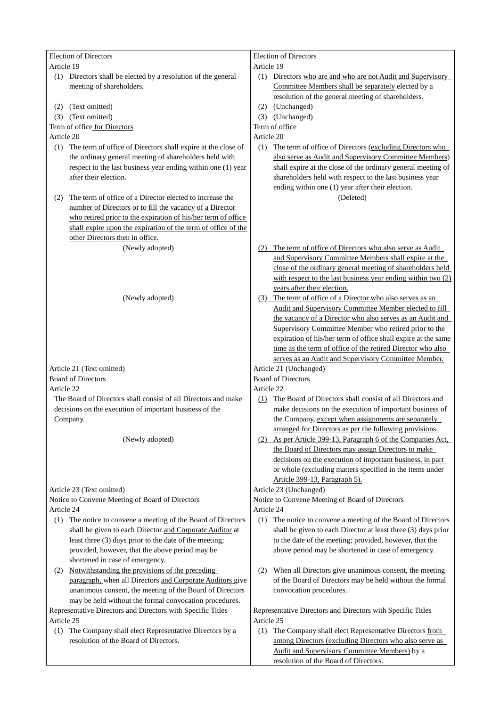| <b>Election of Directors</b>                                     | <b>Election of Directors</b>                                  |  |
|------------------------------------------------------------------|---------------------------------------------------------------|--|
| Article 19                                                       | Article 19                                                    |  |
| (1) Directors shall be elected by a resolution of the general    | (1) Directors who are and who are not Audit and Supervisory   |  |
| meeting of shareholders.                                         | Committee Members shall be separately elected by a            |  |
|                                                                  | resolution of the general meeting of shareholders.            |  |
| (Text omitted)<br>(2)                                            | (2) (Unchanged)                                               |  |
| (3) (Text omitted)                                               | (3) (Unchanged)                                               |  |
| Term of office for Directors                                     | Term of office                                                |  |
| Article 20                                                       | Article 20                                                    |  |
| (1) The term of office of Directors shall expire at the close of | (1) The term of office of Directors (excluding Directors who  |  |
| the ordinary general meeting of shareholders held with           | also serve as Audit and Supervisory Committee Members)        |  |
| respect to the last business year ending within one (1) year     | shall expire at the close of the ordinary general meeting of  |  |
| after their election.                                            |                                                               |  |
|                                                                  | shareholders held with respect to the last business year      |  |
|                                                                  | ending within one (1) year after their election.              |  |
| The term of office of a Director elected to increase the<br>(2)  | (Deleted)                                                     |  |
| number of Directors or to fill the vacancy of a Director         |                                                               |  |
| who retired prior to the expiration of his/her term of office    |                                                               |  |
| shall expire upon the expiration of the term of office of the    |                                                               |  |
| other Directors then in office.                                  |                                                               |  |
| (Newly adopted)                                                  | (2) The term of office of Directors who also serve as Audit   |  |
|                                                                  | and Supervisory Committee Members shall expire at the         |  |
|                                                                  | close of the ordinary general meeting of shareholders held    |  |
|                                                                  | with respect to the last business year ending within two (2)  |  |
|                                                                  | years after their election.                                   |  |
| (Newly adopted)                                                  | (3) The term of office of a Director who also serves as an    |  |
|                                                                  | Audit and Supervisory Committee Member elected to fill        |  |
|                                                                  |                                                               |  |
|                                                                  | the vacancy of a Director who also serves as an Audit and     |  |
|                                                                  | Supervisory Committee Member who retired prior to the         |  |
|                                                                  | expiration of his/her term of office shall expire at the same |  |
|                                                                  | time as the term of office of the retired Director who also   |  |
|                                                                  | serves as an Audit and Supervisory Committee Member.          |  |
| Article 21 (Text omitted)                                        | Article 21 (Unchanged)                                        |  |
| <b>Board of Directors</b>                                        | <b>Board of Directors</b>                                     |  |
| Article 22                                                       | Article 22                                                    |  |
| The Board of Directors shall consist of all Directors and make   | (1) The Board of Directors shall consist of all Directors and |  |
| decisions on the execution of important business of the          | make decisions on the execution of important business of      |  |
| Company.                                                         | the Company, except when assignments are separately           |  |
|                                                                  | arranged for Directors as per the following provisions.       |  |
| (Newly adopted)                                                  | (2) As per Article 399-13, Paragraph 6 of the Companies Act,  |  |
|                                                                  | the Board of Directors may assign Directors to make           |  |
|                                                                  | decisions on the execution of important business, in part     |  |
|                                                                  | or whole (excluding matters specified in the items under      |  |
|                                                                  | Article 399-13, Paragraph 5).                                 |  |
|                                                                  |                                                               |  |
| Article 23 (Text omitted)                                        | Article 23 (Unchanged)                                        |  |
| Notice to Convene Meeting of Board of Directors                  | Notice to Convene Meeting of Board of Directors               |  |
| Article 24                                                       | Article 24                                                    |  |
| (1) The notice to convene a meeting of the Board of Directors    | (1) The notice to convene a meeting of the Board of Directors |  |
| shall be given to each Director and Corporate Auditor at         | shall be given to each Director at least three (3) days prior |  |
| least three (3) days prior to the date of the meeting;           | to the date of the meeting; provided, however, that the       |  |
| provided, however, that the above period may be                  | above period may be shortened in case of emergency.           |  |
| shortened in case of emergency.                                  |                                                               |  |
| Notwithstanding the provisions of the preceding<br>(2)           | When all Directors give unanimous consent, the meeting<br>(2) |  |
| paragraph, when all Directors and Corporate Auditors give        | of the Board of Directors may be held without the formal      |  |
| unanimous consent, the meeting of the Board of Directors         | convocation procedures.                                       |  |
| may be held without the formal convocation procedures.           |                                                               |  |
| Representative Directors and Directors with Specific Titles      | Representative Directors and Directors with Specific Titles   |  |
| Article 25                                                       | Article 25                                                    |  |
|                                                                  |                                                               |  |
| (1) The Company shall elect Representative Directors by a        | (1) The Company shall elect Representative Directors from     |  |
| resolution of the Board of Directors.                            | among Directors (excluding Directors who also serve as        |  |
|                                                                  | Audit and Supervisory Committee Members) by a                 |  |
|                                                                  | resolution of the Board of Directors.                         |  |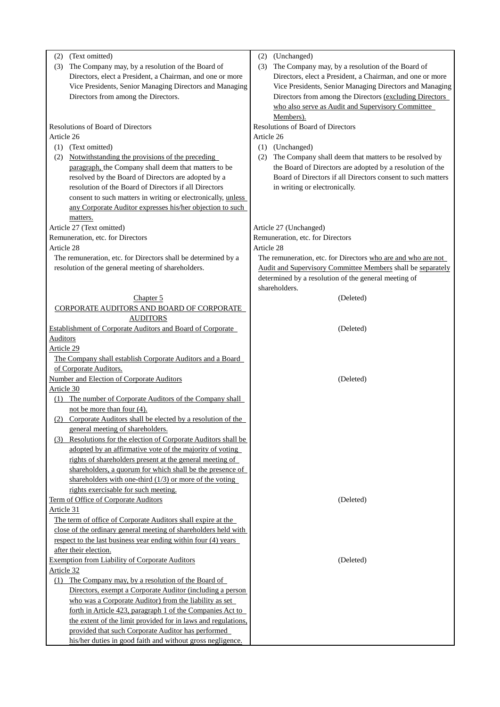| (2)<br>(3)<br>Article 26<br>(1)<br>(2) | (Text omitted)<br>The Company may, by a resolution of the Board of<br>Directors, elect a President, a Chairman, and one or more<br>Vice Presidents, Senior Managing Directors and Managing<br>Directors from among the Directors.<br>Resolutions of Board of Directors<br>(Text omitted)<br>Notwithstanding the provisions of the preceding<br>paragraph, the Company shall deem that matters to be<br>resolved by the Board of Directors are adopted by a<br>resolution of the Board of Directors if all Directors<br>consent to such matters in writing or electronically, unless<br>any Corporate Auditor expresses his/her objection to such<br>matters. | (2)<br>(3)<br>Article 26<br>(2) | (Unchanged)<br>The Company may, by a resolution of the Board of<br>Directors, elect a President, a Chairman, and one or more<br>Vice Presidents, Senior Managing Directors and Managing<br>Directors from among the Directors (excluding Directors<br>who also serve as Audit and Supervisory Committee<br>Members).<br><b>Resolutions of Board of Directors</b><br>(1) (Unchanged)<br>The Company shall deem that matters to be resolved by<br>the Board of Directors are adopted by a resolution of the<br>Board of Directors if all Directors consent to such matters<br>in writing or electronically. |
|----------------------------------------|--------------------------------------------------------------------------------------------------------------------------------------------------------------------------------------------------------------------------------------------------------------------------------------------------------------------------------------------------------------------------------------------------------------------------------------------------------------------------------------------------------------------------------------------------------------------------------------------------------------------------------------------------------------|---------------------------------|-----------------------------------------------------------------------------------------------------------------------------------------------------------------------------------------------------------------------------------------------------------------------------------------------------------------------------------------------------------------------------------------------------------------------------------------------------------------------------------------------------------------------------------------------------------------------------------------------------------|
|                                        | Article 27 (Text omitted)                                                                                                                                                                                                                                                                                                                                                                                                                                                                                                                                                                                                                                    |                                 | Article 27 (Unchanged)                                                                                                                                                                                                                                                                                                                                                                                                                                                                                                                                                                                    |
|                                        | Remuneration, etc. for Directors                                                                                                                                                                                                                                                                                                                                                                                                                                                                                                                                                                                                                             |                                 | Remuneration, etc. for Directors                                                                                                                                                                                                                                                                                                                                                                                                                                                                                                                                                                          |
| Article 28                             |                                                                                                                                                                                                                                                                                                                                                                                                                                                                                                                                                                                                                                                              | Article 28                      |                                                                                                                                                                                                                                                                                                                                                                                                                                                                                                                                                                                                           |
|                                        | The remuneration, etc. for Directors shall be determined by a<br>resolution of the general meeting of shareholders.                                                                                                                                                                                                                                                                                                                                                                                                                                                                                                                                          |                                 | The remuneration, etc. for Directors who are and who are not<br>Audit and Supervisory Committee Members shall be separately<br>determined by a resolution of the general meeting of<br>shareholders.                                                                                                                                                                                                                                                                                                                                                                                                      |
|                                        | Chapter 5                                                                                                                                                                                                                                                                                                                                                                                                                                                                                                                                                                                                                                                    |                                 | (Deleted)                                                                                                                                                                                                                                                                                                                                                                                                                                                                                                                                                                                                 |
|                                        | CORPORATE AUDITORS AND BOARD OF CORPORATE<br><b>AUDITORS</b>                                                                                                                                                                                                                                                                                                                                                                                                                                                                                                                                                                                                 |                                 |                                                                                                                                                                                                                                                                                                                                                                                                                                                                                                                                                                                                           |
|                                        | <b>Establishment of Corporate Auditors and Board of Corporate</b>                                                                                                                                                                                                                                                                                                                                                                                                                                                                                                                                                                                            |                                 | (Deleted)                                                                                                                                                                                                                                                                                                                                                                                                                                                                                                                                                                                                 |
| <b>Auditors</b>                        |                                                                                                                                                                                                                                                                                                                                                                                                                                                                                                                                                                                                                                                              |                                 |                                                                                                                                                                                                                                                                                                                                                                                                                                                                                                                                                                                                           |
| Article 29                             | The Company shall establish Corporate Auditors and a Board                                                                                                                                                                                                                                                                                                                                                                                                                                                                                                                                                                                                   |                                 |                                                                                                                                                                                                                                                                                                                                                                                                                                                                                                                                                                                                           |
|                                        | of Corporate Auditors.                                                                                                                                                                                                                                                                                                                                                                                                                                                                                                                                                                                                                                       |                                 |                                                                                                                                                                                                                                                                                                                                                                                                                                                                                                                                                                                                           |
|                                        | <b>Number and Election of Corporate Auditors</b>                                                                                                                                                                                                                                                                                                                                                                                                                                                                                                                                                                                                             |                                 | (Deleted)                                                                                                                                                                                                                                                                                                                                                                                                                                                                                                                                                                                                 |
| Article 30                             |                                                                                                                                                                                                                                                                                                                                                                                                                                                                                                                                                                                                                                                              |                                 |                                                                                                                                                                                                                                                                                                                                                                                                                                                                                                                                                                                                           |
|                                        | (1) The number of Corporate Auditors of the Company shall                                                                                                                                                                                                                                                                                                                                                                                                                                                                                                                                                                                                    |                                 |                                                                                                                                                                                                                                                                                                                                                                                                                                                                                                                                                                                                           |
|                                        | not be more than four $(4)$ .                                                                                                                                                                                                                                                                                                                                                                                                                                                                                                                                                                                                                                |                                 |                                                                                                                                                                                                                                                                                                                                                                                                                                                                                                                                                                                                           |
|                                        | (2) Corporate Auditors shall be elected by a resolution of the<br>general meeting of shareholders.                                                                                                                                                                                                                                                                                                                                                                                                                                                                                                                                                           |                                 |                                                                                                                                                                                                                                                                                                                                                                                                                                                                                                                                                                                                           |
| (3)                                    | Resolutions for the election of Corporate Auditors shall be                                                                                                                                                                                                                                                                                                                                                                                                                                                                                                                                                                                                  |                                 |                                                                                                                                                                                                                                                                                                                                                                                                                                                                                                                                                                                                           |
|                                        | adopted by an affirmative vote of the majority of voting                                                                                                                                                                                                                                                                                                                                                                                                                                                                                                                                                                                                     |                                 |                                                                                                                                                                                                                                                                                                                                                                                                                                                                                                                                                                                                           |
|                                        | rights of shareholders present at the general meeting of                                                                                                                                                                                                                                                                                                                                                                                                                                                                                                                                                                                                     |                                 |                                                                                                                                                                                                                                                                                                                                                                                                                                                                                                                                                                                                           |
|                                        | shareholders, a quorum for which shall be the presence of                                                                                                                                                                                                                                                                                                                                                                                                                                                                                                                                                                                                    |                                 |                                                                                                                                                                                                                                                                                                                                                                                                                                                                                                                                                                                                           |
|                                        | shareholders with one-third $(1/3)$ or more of the voting<br>rights exercisable for such meeting.                                                                                                                                                                                                                                                                                                                                                                                                                                                                                                                                                            |                                 |                                                                                                                                                                                                                                                                                                                                                                                                                                                                                                                                                                                                           |
|                                        | Term of Office of Corporate Auditors                                                                                                                                                                                                                                                                                                                                                                                                                                                                                                                                                                                                                         |                                 | (Deleted)                                                                                                                                                                                                                                                                                                                                                                                                                                                                                                                                                                                                 |
| Article 31                             |                                                                                                                                                                                                                                                                                                                                                                                                                                                                                                                                                                                                                                                              |                                 |                                                                                                                                                                                                                                                                                                                                                                                                                                                                                                                                                                                                           |
|                                        | The term of office of Corporate Auditors shall expire at the                                                                                                                                                                                                                                                                                                                                                                                                                                                                                                                                                                                                 |                                 |                                                                                                                                                                                                                                                                                                                                                                                                                                                                                                                                                                                                           |
|                                        | close of the ordinary general meeting of shareholders held with                                                                                                                                                                                                                                                                                                                                                                                                                                                                                                                                                                                              |                                 |                                                                                                                                                                                                                                                                                                                                                                                                                                                                                                                                                                                                           |
|                                        | respect to the last business year ending within four (4) years                                                                                                                                                                                                                                                                                                                                                                                                                                                                                                                                                                                               |                                 |                                                                                                                                                                                                                                                                                                                                                                                                                                                                                                                                                                                                           |
|                                        | after their election.<br><b>Exemption from Liability of Corporate Auditors</b>                                                                                                                                                                                                                                                                                                                                                                                                                                                                                                                                                                               |                                 | (Deleted)                                                                                                                                                                                                                                                                                                                                                                                                                                                                                                                                                                                                 |
| Article 32                             |                                                                                                                                                                                                                                                                                                                                                                                                                                                                                                                                                                                                                                                              |                                 |                                                                                                                                                                                                                                                                                                                                                                                                                                                                                                                                                                                                           |
| (1)                                    | The Company may, by a resolution of the Board of                                                                                                                                                                                                                                                                                                                                                                                                                                                                                                                                                                                                             |                                 |                                                                                                                                                                                                                                                                                                                                                                                                                                                                                                                                                                                                           |
|                                        | Directors, exempt a Corporate Auditor (including a person                                                                                                                                                                                                                                                                                                                                                                                                                                                                                                                                                                                                    |                                 |                                                                                                                                                                                                                                                                                                                                                                                                                                                                                                                                                                                                           |
|                                        | who was a Corporate Auditor) from the liability as set                                                                                                                                                                                                                                                                                                                                                                                                                                                                                                                                                                                                       |                                 |                                                                                                                                                                                                                                                                                                                                                                                                                                                                                                                                                                                                           |
|                                        | forth in Article 423, paragraph 1 of the Companies Act to                                                                                                                                                                                                                                                                                                                                                                                                                                                                                                                                                                                                    |                                 |                                                                                                                                                                                                                                                                                                                                                                                                                                                                                                                                                                                                           |
|                                        | the extent of the limit provided for in laws and regulations.<br>provided that such Corporate Auditor has performed                                                                                                                                                                                                                                                                                                                                                                                                                                                                                                                                          |                                 |                                                                                                                                                                                                                                                                                                                                                                                                                                                                                                                                                                                                           |
|                                        | his/her duties in good faith and without gross negligence.                                                                                                                                                                                                                                                                                                                                                                                                                                                                                                                                                                                                   |                                 |                                                                                                                                                                                                                                                                                                                                                                                                                                                                                                                                                                                                           |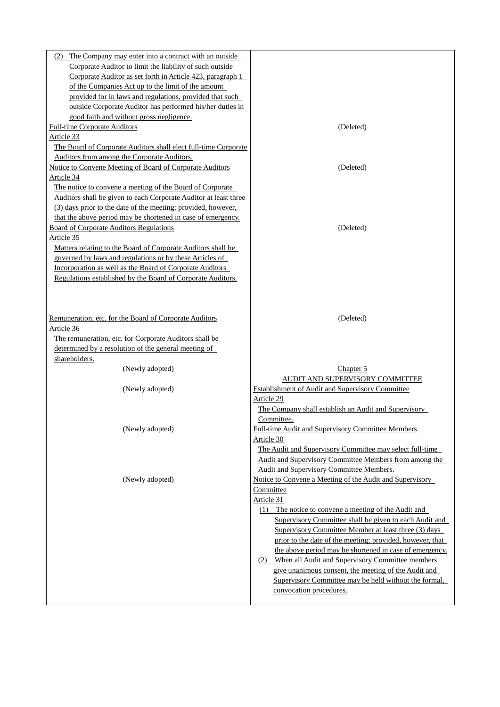| The Company may enter into a contract with an outside<br>(2)<br>Corporate Auditor to limit the liability of such outside<br>Corporate Auditor as set forth in Article 423, paragraph 1<br>of the Companies Act up to the limit of the amount<br>provided for in laws and regulations, provided that such<br>outside Corporate Auditor has performed his/her duties in<br>good faith and without gross negligence.<br><b>Full-time Corporate Auditors</b><br>(Deleted)<br>Article 33<br>The Board of Corporate Auditors shall elect full-time Corporate<br>Auditors from among the Corporate Auditors.<br><b>Notice to Convene Meeting of Board of Corporate Auditors</b><br>(Deleted)<br>Article 34<br>The notice to convene a meeting of the Board of Corporate<br>Auditors shall be given to each Corporate Auditor at least three<br>(3) days prior to the date of the meeting; provided, however,<br>that the above period may be shortened in case of emergency.<br><b>Board of Corporate Auditors Regulations</b><br>(Deleted)<br>Article 35<br>Matters relating to the Board of Corporate Auditors shall be<br>governed by laws and regulations or by these Articles of<br>Incorporation as well as the Board of Corporate Auditors<br>Regulations established by the Board of Corporate Auditors.<br>Remuneration, etc. for the Board of Corporate Auditors<br>(Deleted)<br>Article 36<br>The remuneration, etc. for Corporate Auditors shall be<br>determined by a resolution of the general meeting of<br>shareholders.<br>(Newly adopted)<br>Chapter 5<br>AUDIT AND SUPERVISORY COMMITTEE<br>(Newly adopted)<br><b>Establishment of Audit and Supervisory Committee</b><br>Article 29<br>The Company shall establish an Audit and Supervisory<br>Committee.<br>(Newly adopted)<br>Full-time Audit and Supervisory Committee Members<br>Article 30<br>The Audit and Supervisory Committee may select full-time<br>Audit and Supervisory Committee Members from among the<br>Audit and Supervisory Committee Members.<br>(Newly adopted)<br>Notice to Convene a Meeting of the Audit and Supervisory<br>Committee<br>Article 31<br>The notice to convene a meeting of the Audit and<br>(1)<br>Supervisory Committee shall be given to each Audit and<br>Supervisory Committee Member at least three (3) days<br>prior to the date of the meeting; provided, however, that<br>the above period may be shortened in case of emergency.<br>(2) When all Audit and Supervisory Committee members<br>give unanimous consent, the meeting of the Audit and<br>Supervisory Committee may be held without the formal,<br>convocation procedures. |  |
|---------------------------------------------------------------------------------------------------------------------------------------------------------------------------------------------------------------------------------------------------------------------------------------------------------------------------------------------------------------------------------------------------------------------------------------------------------------------------------------------------------------------------------------------------------------------------------------------------------------------------------------------------------------------------------------------------------------------------------------------------------------------------------------------------------------------------------------------------------------------------------------------------------------------------------------------------------------------------------------------------------------------------------------------------------------------------------------------------------------------------------------------------------------------------------------------------------------------------------------------------------------------------------------------------------------------------------------------------------------------------------------------------------------------------------------------------------------------------------------------------------------------------------------------------------------------------------------------------------------------------------------------------------------------------------------------------------------------------------------------------------------------------------------------------------------------------------------------------------------------------------------------------------------------------------------------------------------------------------------------------------------------------------------------------------------------------------------------------------------------------------------------------------------------------------------------------------------------------------------------------------------------------------------------------------------------------------------------------------------------------------------------------------------------------------------------------------------------------------------------------------------------------------------------------------------------------------------------------------------------------------------------------|--|
|                                                                                                                                                                                                                                                                                                                                                                                                                                                                                                                                                                                                                                                                                                                                                                                                                                                                                                                                                                                                                                                                                                                                                                                                                                                                                                                                                                                                                                                                                                                                                                                                                                                                                                                                                                                                                                                                                                                                                                                                                                                                                                                                                                                                                                                                                                                                                                                                                                                                                                                                                                                                                                                   |  |
|                                                                                                                                                                                                                                                                                                                                                                                                                                                                                                                                                                                                                                                                                                                                                                                                                                                                                                                                                                                                                                                                                                                                                                                                                                                                                                                                                                                                                                                                                                                                                                                                                                                                                                                                                                                                                                                                                                                                                                                                                                                                                                                                                                                                                                                                                                                                                                                                                                                                                                                                                                                                                                                   |  |
|                                                                                                                                                                                                                                                                                                                                                                                                                                                                                                                                                                                                                                                                                                                                                                                                                                                                                                                                                                                                                                                                                                                                                                                                                                                                                                                                                                                                                                                                                                                                                                                                                                                                                                                                                                                                                                                                                                                                                                                                                                                                                                                                                                                                                                                                                                                                                                                                                                                                                                                                                                                                                                                   |  |
|                                                                                                                                                                                                                                                                                                                                                                                                                                                                                                                                                                                                                                                                                                                                                                                                                                                                                                                                                                                                                                                                                                                                                                                                                                                                                                                                                                                                                                                                                                                                                                                                                                                                                                                                                                                                                                                                                                                                                                                                                                                                                                                                                                                                                                                                                                                                                                                                                                                                                                                                                                                                                                                   |  |
|                                                                                                                                                                                                                                                                                                                                                                                                                                                                                                                                                                                                                                                                                                                                                                                                                                                                                                                                                                                                                                                                                                                                                                                                                                                                                                                                                                                                                                                                                                                                                                                                                                                                                                                                                                                                                                                                                                                                                                                                                                                                                                                                                                                                                                                                                                                                                                                                                                                                                                                                                                                                                                                   |  |
|                                                                                                                                                                                                                                                                                                                                                                                                                                                                                                                                                                                                                                                                                                                                                                                                                                                                                                                                                                                                                                                                                                                                                                                                                                                                                                                                                                                                                                                                                                                                                                                                                                                                                                                                                                                                                                                                                                                                                                                                                                                                                                                                                                                                                                                                                                                                                                                                                                                                                                                                                                                                                                                   |  |
|                                                                                                                                                                                                                                                                                                                                                                                                                                                                                                                                                                                                                                                                                                                                                                                                                                                                                                                                                                                                                                                                                                                                                                                                                                                                                                                                                                                                                                                                                                                                                                                                                                                                                                                                                                                                                                                                                                                                                                                                                                                                                                                                                                                                                                                                                                                                                                                                                                                                                                                                                                                                                                                   |  |
|                                                                                                                                                                                                                                                                                                                                                                                                                                                                                                                                                                                                                                                                                                                                                                                                                                                                                                                                                                                                                                                                                                                                                                                                                                                                                                                                                                                                                                                                                                                                                                                                                                                                                                                                                                                                                                                                                                                                                                                                                                                                                                                                                                                                                                                                                                                                                                                                                                                                                                                                                                                                                                                   |  |
|                                                                                                                                                                                                                                                                                                                                                                                                                                                                                                                                                                                                                                                                                                                                                                                                                                                                                                                                                                                                                                                                                                                                                                                                                                                                                                                                                                                                                                                                                                                                                                                                                                                                                                                                                                                                                                                                                                                                                                                                                                                                                                                                                                                                                                                                                                                                                                                                                                                                                                                                                                                                                                                   |  |
|                                                                                                                                                                                                                                                                                                                                                                                                                                                                                                                                                                                                                                                                                                                                                                                                                                                                                                                                                                                                                                                                                                                                                                                                                                                                                                                                                                                                                                                                                                                                                                                                                                                                                                                                                                                                                                                                                                                                                                                                                                                                                                                                                                                                                                                                                                                                                                                                                                                                                                                                                                                                                                                   |  |
|                                                                                                                                                                                                                                                                                                                                                                                                                                                                                                                                                                                                                                                                                                                                                                                                                                                                                                                                                                                                                                                                                                                                                                                                                                                                                                                                                                                                                                                                                                                                                                                                                                                                                                                                                                                                                                                                                                                                                                                                                                                                                                                                                                                                                                                                                                                                                                                                                                                                                                                                                                                                                                                   |  |
|                                                                                                                                                                                                                                                                                                                                                                                                                                                                                                                                                                                                                                                                                                                                                                                                                                                                                                                                                                                                                                                                                                                                                                                                                                                                                                                                                                                                                                                                                                                                                                                                                                                                                                                                                                                                                                                                                                                                                                                                                                                                                                                                                                                                                                                                                                                                                                                                                                                                                                                                                                                                                                                   |  |
|                                                                                                                                                                                                                                                                                                                                                                                                                                                                                                                                                                                                                                                                                                                                                                                                                                                                                                                                                                                                                                                                                                                                                                                                                                                                                                                                                                                                                                                                                                                                                                                                                                                                                                                                                                                                                                                                                                                                                                                                                                                                                                                                                                                                                                                                                                                                                                                                                                                                                                                                                                                                                                                   |  |
|                                                                                                                                                                                                                                                                                                                                                                                                                                                                                                                                                                                                                                                                                                                                                                                                                                                                                                                                                                                                                                                                                                                                                                                                                                                                                                                                                                                                                                                                                                                                                                                                                                                                                                                                                                                                                                                                                                                                                                                                                                                                                                                                                                                                                                                                                                                                                                                                                                                                                                                                                                                                                                                   |  |
|                                                                                                                                                                                                                                                                                                                                                                                                                                                                                                                                                                                                                                                                                                                                                                                                                                                                                                                                                                                                                                                                                                                                                                                                                                                                                                                                                                                                                                                                                                                                                                                                                                                                                                                                                                                                                                                                                                                                                                                                                                                                                                                                                                                                                                                                                                                                                                                                                                                                                                                                                                                                                                                   |  |
|                                                                                                                                                                                                                                                                                                                                                                                                                                                                                                                                                                                                                                                                                                                                                                                                                                                                                                                                                                                                                                                                                                                                                                                                                                                                                                                                                                                                                                                                                                                                                                                                                                                                                                                                                                                                                                                                                                                                                                                                                                                                                                                                                                                                                                                                                                                                                                                                                                                                                                                                                                                                                                                   |  |
|                                                                                                                                                                                                                                                                                                                                                                                                                                                                                                                                                                                                                                                                                                                                                                                                                                                                                                                                                                                                                                                                                                                                                                                                                                                                                                                                                                                                                                                                                                                                                                                                                                                                                                                                                                                                                                                                                                                                                                                                                                                                                                                                                                                                                                                                                                                                                                                                                                                                                                                                                                                                                                                   |  |
|                                                                                                                                                                                                                                                                                                                                                                                                                                                                                                                                                                                                                                                                                                                                                                                                                                                                                                                                                                                                                                                                                                                                                                                                                                                                                                                                                                                                                                                                                                                                                                                                                                                                                                                                                                                                                                                                                                                                                                                                                                                                                                                                                                                                                                                                                                                                                                                                                                                                                                                                                                                                                                                   |  |
|                                                                                                                                                                                                                                                                                                                                                                                                                                                                                                                                                                                                                                                                                                                                                                                                                                                                                                                                                                                                                                                                                                                                                                                                                                                                                                                                                                                                                                                                                                                                                                                                                                                                                                                                                                                                                                                                                                                                                                                                                                                                                                                                                                                                                                                                                                                                                                                                                                                                                                                                                                                                                                                   |  |
|                                                                                                                                                                                                                                                                                                                                                                                                                                                                                                                                                                                                                                                                                                                                                                                                                                                                                                                                                                                                                                                                                                                                                                                                                                                                                                                                                                                                                                                                                                                                                                                                                                                                                                                                                                                                                                                                                                                                                                                                                                                                                                                                                                                                                                                                                                                                                                                                                                                                                                                                                                                                                                                   |  |
|                                                                                                                                                                                                                                                                                                                                                                                                                                                                                                                                                                                                                                                                                                                                                                                                                                                                                                                                                                                                                                                                                                                                                                                                                                                                                                                                                                                                                                                                                                                                                                                                                                                                                                                                                                                                                                                                                                                                                                                                                                                                                                                                                                                                                                                                                                                                                                                                                                                                                                                                                                                                                                                   |  |
|                                                                                                                                                                                                                                                                                                                                                                                                                                                                                                                                                                                                                                                                                                                                                                                                                                                                                                                                                                                                                                                                                                                                                                                                                                                                                                                                                                                                                                                                                                                                                                                                                                                                                                                                                                                                                                                                                                                                                                                                                                                                                                                                                                                                                                                                                                                                                                                                                                                                                                                                                                                                                                                   |  |
|                                                                                                                                                                                                                                                                                                                                                                                                                                                                                                                                                                                                                                                                                                                                                                                                                                                                                                                                                                                                                                                                                                                                                                                                                                                                                                                                                                                                                                                                                                                                                                                                                                                                                                                                                                                                                                                                                                                                                                                                                                                                                                                                                                                                                                                                                                                                                                                                                                                                                                                                                                                                                                                   |  |
|                                                                                                                                                                                                                                                                                                                                                                                                                                                                                                                                                                                                                                                                                                                                                                                                                                                                                                                                                                                                                                                                                                                                                                                                                                                                                                                                                                                                                                                                                                                                                                                                                                                                                                                                                                                                                                                                                                                                                                                                                                                                                                                                                                                                                                                                                                                                                                                                                                                                                                                                                                                                                                                   |  |
|                                                                                                                                                                                                                                                                                                                                                                                                                                                                                                                                                                                                                                                                                                                                                                                                                                                                                                                                                                                                                                                                                                                                                                                                                                                                                                                                                                                                                                                                                                                                                                                                                                                                                                                                                                                                                                                                                                                                                                                                                                                                                                                                                                                                                                                                                                                                                                                                                                                                                                                                                                                                                                                   |  |
|                                                                                                                                                                                                                                                                                                                                                                                                                                                                                                                                                                                                                                                                                                                                                                                                                                                                                                                                                                                                                                                                                                                                                                                                                                                                                                                                                                                                                                                                                                                                                                                                                                                                                                                                                                                                                                                                                                                                                                                                                                                                                                                                                                                                                                                                                                                                                                                                                                                                                                                                                                                                                                                   |  |
|                                                                                                                                                                                                                                                                                                                                                                                                                                                                                                                                                                                                                                                                                                                                                                                                                                                                                                                                                                                                                                                                                                                                                                                                                                                                                                                                                                                                                                                                                                                                                                                                                                                                                                                                                                                                                                                                                                                                                                                                                                                                                                                                                                                                                                                                                                                                                                                                                                                                                                                                                                                                                                                   |  |
|                                                                                                                                                                                                                                                                                                                                                                                                                                                                                                                                                                                                                                                                                                                                                                                                                                                                                                                                                                                                                                                                                                                                                                                                                                                                                                                                                                                                                                                                                                                                                                                                                                                                                                                                                                                                                                                                                                                                                                                                                                                                                                                                                                                                                                                                                                                                                                                                                                                                                                                                                                                                                                                   |  |
|                                                                                                                                                                                                                                                                                                                                                                                                                                                                                                                                                                                                                                                                                                                                                                                                                                                                                                                                                                                                                                                                                                                                                                                                                                                                                                                                                                                                                                                                                                                                                                                                                                                                                                                                                                                                                                                                                                                                                                                                                                                                                                                                                                                                                                                                                                                                                                                                                                                                                                                                                                                                                                                   |  |
|                                                                                                                                                                                                                                                                                                                                                                                                                                                                                                                                                                                                                                                                                                                                                                                                                                                                                                                                                                                                                                                                                                                                                                                                                                                                                                                                                                                                                                                                                                                                                                                                                                                                                                                                                                                                                                                                                                                                                                                                                                                                                                                                                                                                                                                                                                                                                                                                                                                                                                                                                                                                                                                   |  |
|                                                                                                                                                                                                                                                                                                                                                                                                                                                                                                                                                                                                                                                                                                                                                                                                                                                                                                                                                                                                                                                                                                                                                                                                                                                                                                                                                                                                                                                                                                                                                                                                                                                                                                                                                                                                                                                                                                                                                                                                                                                                                                                                                                                                                                                                                                                                                                                                                                                                                                                                                                                                                                                   |  |
|                                                                                                                                                                                                                                                                                                                                                                                                                                                                                                                                                                                                                                                                                                                                                                                                                                                                                                                                                                                                                                                                                                                                                                                                                                                                                                                                                                                                                                                                                                                                                                                                                                                                                                                                                                                                                                                                                                                                                                                                                                                                                                                                                                                                                                                                                                                                                                                                                                                                                                                                                                                                                                                   |  |
|                                                                                                                                                                                                                                                                                                                                                                                                                                                                                                                                                                                                                                                                                                                                                                                                                                                                                                                                                                                                                                                                                                                                                                                                                                                                                                                                                                                                                                                                                                                                                                                                                                                                                                                                                                                                                                                                                                                                                                                                                                                                                                                                                                                                                                                                                                                                                                                                                                                                                                                                                                                                                                                   |  |
|                                                                                                                                                                                                                                                                                                                                                                                                                                                                                                                                                                                                                                                                                                                                                                                                                                                                                                                                                                                                                                                                                                                                                                                                                                                                                                                                                                                                                                                                                                                                                                                                                                                                                                                                                                                                                                                                                                                                                                                                                                                                                                                                                                                                                                                                                                                                                                                                                                                                                                                                                                                                                                                   |  |
|                                                                                                                                                                                                                                                                                                                                                                                                                                                                                                                                                                                                                                                                                                                                                                                                                                                                                                                                                                                                                                                                                                                                                                                                                                                                                                                                                                                                                                                                                                                                                                                                                                                                                                                                                                                                                                                                                                                                                                                                                                                                                                                                                                                                                                                                                                                                                                                                                                                                                                                                                                                                                                                   |  |
|                                                                                                                                                                                                                                                                                                                                                                                                                                                                                                                                                                                                                                                                                                                                                                                                                                                                                                                                                                                                                                                                                                                                                                                                                                                                                                                                                                                                                                                                                                                                                                                                                                                                                                                                                                                                                                                                                                                                                                                                                                                                                                                                                                                                                                                                                                                                                                                                                                                                                                                                                                                                                                                   |  |
|                                                                                                                                                                                                                                                                                                                                                                                                                                                                                                                                                                                                                                                                                                                                                                                                                                                                                                                                                                                                                                                                                                                                                                                                                                                                                                                                                                                                                                                                                                                                                                                                                                                                                                                                                                                                                                                                                                                                                                                                                                                                                                                                                                                                                                                                                                                                                                                                                                                                                                                                                                                                                                                   |  |
|                                                                                                                                                                                                                                                                                                                                                                                                                                                                                                                                                                                                                                                                                                                                                                                                                                                                                                                                                                                                                                                                                                                                                                                                                                                                                                                                                                                                                                                                                                                                                                                                                                                                                                                                                                                                                                                                                                                                                                                                                                                                                                                                                                                                                                                                                                                                                                                                                                                                                                                                                                                                                                                   |  |
|                                                                                                                                                                                                                                                                                                                                                                                                                                                                                                                                                                                                                                                                                                                                                                                                                                                                                                                                                                                                                                                                                                                                                                                                                                                                                                                                                                                                                                                                                                                                                                                                                                                                                                                                                                                                                                                                                                                                                                                                                                                                                                                                                                                                                                                                                                                                                                                                                                                                                                                                                                                                                                                   |  |
|                                                                                                                                                                                                                                                                                                                                                                                                                                                                                                                                                                                                                                                                                                                                                                                                                                                                                                                                                                                                                                                                                                                                                                                                                                                                                                                                                                                                                                                                                                                                                                                                                                                                                                                                                                                                                                                                                                                                                                                                                                                                                                                                                                                                                                                                                                                                                                                                                                                                                                                                                                                                                                                   |  |
|                                                                                                                                                                                                                                                                                                                                                                                                                                                                                                                                                                                                                                                                                                                                                                                                                                                                                                                                                                                                                                                                                                                                                                                                                                                                                                                                                                                                                                                                                                                                                                                                                                                                                                                                                                                                                                                                                                                                                                                                                                                                                                                                                                                                                                                                                                                                                                                                                                                                                                                                                                                                                                                   |  |
|                                                                                                                                                                                                                                                                                                                                                                                                                                                                                                                                                                                                                                                                                                                                                                                                                                                                                                                                                                                                                                                                                                                                                                                                                                                                                                                                                                                                                                                                                                                                                                                                                                                                                                                                                                                                                                                                                                                                                                                                                                                                                                                                                                                                                                                                                                                                                                                                                                                                                                                                                                                                                                                   |  |
|                                                                                                                                                                                                                                                                                                                                                                                                                                                                                                                                                                                                                                                                                                                                                                                                                                                                                                                                                                                                                                                                                                                                                                                                                                                                                                                                                                                                                                                                                                                                                                                                                                                                                                                                                                                                                                                                                                                                                                                                                                                                                                                                                                                                                                                                                                                                                                                                                                                                                                                                                                                                                                                   |  |
|                                                                                                                                                                                                                                                                                                                                                                                                                                                                                                                                                                                                                                                                                                                                                                                                                                                                                                                                                                                                                                                                                                                                                                                                                                                                                                                                                                                                                                                                                                                                                                                                                                                                                                                                                                                                                                                                                                                                                                                                                                                                                                                                                                                                                                                                                                                                                                                                                                                                                                                                                                                                                                                   |  |
|                                                                                                                                                                                                                                                                                                                                                                                                                                                                                                                                                                                                                                                                                                                                                                                                                                                                                                                                                                                                                                                                                                                                                                                                                                                                                                                                                                                                                                                                                                                                                                                                                                                                                                                                                                                                                                                                                                                                                                                                                                                                                                                                                                                                                                                                                                                                                                                                                                                                                                                                                                                                                                                   |  |
|                                                                                                                                                                                                                                                                                                                                                                                                                                                                                                                                                                                                                                                                                                                                                                                                                                                                                                                                                                                                                                                                                                                                                                                                                                                                                                                                                                                                                                                                                                                                                                                                                                                                                                                                                                                                                                                                                                                                                                                                                                                                                                                                                                                                                                                                                                                                                                                                                                                                                                                                                                                                                                                   |  |
|                                                                                                                                                                                                                                                                                                                                                                                                                                                                                                                                                                                                                                                                                                                                                                                                                                                                                                                                                                                                                                                                                                                                                                                                                                                                                                                                                                                                                                                                                                                                                                                                                                                                                                                                                                                                                                                                                                                                                                                                                                                                                                                                                                                                                                                                                                                                                                                                                                                                                                                                                                                                                                                   |  |
|                                                                                                                                                                                                                                                                                                                                                                                                                                                                                                                                                                                                                                                                                                                                                                                                                                                                                                                                                                                                                                                                                                                                                                                                                                                                                                                                                                                                                                                                                                                                                                                                                                                                                                                                                                                                                                                                                                                                                                                                                                                                                                                                                                                                                                                                                                                                                                                                                                                                                                                                                                                                                                                   |  |
|                                                                                                                                                                                                                                                                                                                                                                                                                                                                                                                                                                                                                                                                                                                                                                                                                                                                                                                                                                                                                                                                                                                                                                                                                                                                                                                                                                                                                                                                                                                                                                                                                                                                                                                                                                                                                                                                                                                                                                                                                                                                                                                                                                                                                                                                                                                                                                                                                                                                                                                                                                                                                                                   |  |
|                                                                                                                                                                                                                                                                                                                                                                                                                                                                                                                                                                                                                                                                                                                                                                                                                                                                                                                                                                                                                                                                                                                                                                                                                                                                                                                                                                                                                                                                                                                                                                                                                                                                                                                                                                                                                                                                                                                                                                                                                                                                                                                                                                                                                                                                                                                                                                                                                                                                                                                                                                                                                                                   |  |
|                                                                                                                                                                                                                                                                                                                                                                                                                                                                                                                                                                                                                                                                                                                                                                                                                                                                                                                                                                                                                                                                                                                                                                                                                                                                                                                                                                                                                                                                                                                                                                                                                                                                                                                                                                                                                                                                                                                                                                                                                                                                                                                                                                                                                                                                                                                                                                                                                                                                                                                                                                                                                                                   |  |
|                                                                                                                                                                                                                                                                                                                                                                                                                                                                                                                                                                                                                                                                                                                                                                                                                                                                                                                                                                                                                                                                                                                                                                                                                                                                                                                                                                                                                                                                                                                                                                                                                                                                                                                                                                                                                                                                                                                                                                                                                                                                                                                                                                                                                                                                                                                                                                                                                                                                                                                                                                                                                                                   |  |
|                                                                                                                                                                                                                                                                                                                                                                                                                                                                                                                                                                                                                                                                                                                                                                                                                                                                                                                                                                                                                                                                                                                                                                                                                                                                                                                                                                                                                                                                                                                                                                                                                                                                                                                                                                                                                                                                                                                                                                                                                                                                                                                                                                                                                                                                                                                                                                                                                                                                                                                                                                                                                                                   |  |
|                                                                                                                                                                                                                                                                                                                                                                                                                                                                                                                                                                                                                                                                                                                                                                                                                                                                                                                                                                                                                                                                                                                                                                                                                                                                                                                                                                                                                                                                                                                                                                                                                                                                                                                                                                                                                                                                                                                                                                                                                                                                                                                                                                                                                                                                                                                                                                                                                                                                                                                                                                                                                                                   |  |
|                                                                                                                                                                                                                                                                                                                                                                                                                                                                                                                                                                                                                                                                                                                                                                                                                                                                                                                                                                                                                                                                                                                                                                                                                                                                                                                                                                                                                                                                                                                                                                                                                                                                                                                                                                                                                                                                                                                                                                                                                                                                                                                                                                                                                                                                                                                                                                                                                                                                                                                                                                                                                                                   |  |
|                                                                                                                                                                                                                                                                                                                                                                                                                                                                                                                                                                                                                                                                                                                                                                                                                                                                                                                                                                                                                                                                                                                                                                                                                                                                                                                                                                                                                                                                                                                                                                                                                                                                                                                                                                                                                                                                                                                                                                                                                                                                                                                                                                                                                                                                                                                                                                                                                                                                                                                                                                                                                                                   |  |
|                                                                                                                                                                                                                                                                                                                                                                                                                                                                                                                                                                                                                                                                                                                                                                                                                                                                                                                                                                                                                                                                                                                                                                                                                                                                                                                                                                                                                                                                                                                                                                                                                                                                                                                                                                                                                                                                                                                                                                                                                                                                                                                                                                                                                                                                                                                                                                                                                                                                                                                                                                                                                                                   |  |
|                                                                                                                                                                                                                                                                                                                                                                                                                                                                                                                                                                                                                                                                                                                                                                                                                                                                                                                                                                                                                                                                                                                                                                                                                                                                                                                                                                                                                                                                                                                                                                                                                                                                                                                                                                                                                                                                                                                                                                                                                                                                                                                                                                                                                                                                                                                                                                                                                                                                                                                                                                                                                                                   |  |